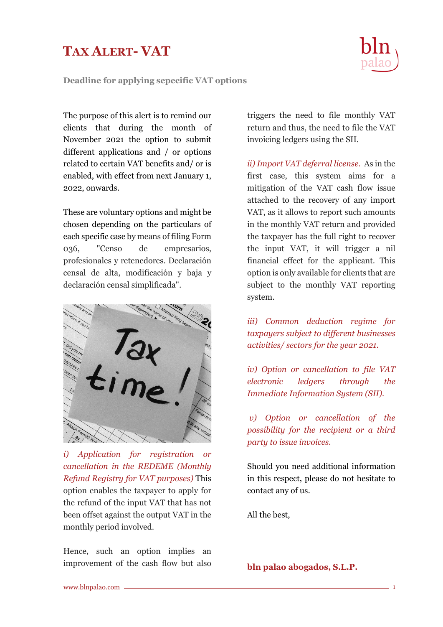## **TAX ALERT- VAT**

**Deadline for applying sepecific VAT options**

The purpose of this alert is to remind our clients that during the month of November 2021 the option to submit different applications and / or options related to certain VAT benefits and/ or is enabled, with effect from next January 1, 2022, onwards.

These are voluntary options and might be chosen depending on the particulars of each specific case by means of filing Form 036, "Censo de empresarios, profesionales y retenedores. Declaración censal de alta, modificación y baja y declaración censal simplificada".



*i) Application for registration or cancellation in the REDEME (Monthly Refund Registry for VAT purposes)* This option enables the taxpayer to apply for the refund of the input VAT that has not been offset against the output VAT in the monthly period involved.

Hence, such an option implies an improvement of the cash flow but also

triggers the need to file monthly VAT return and thus, the need to file the VAT invoicing ledgers using the SII.

*ii) Import VAT deferral license.* As in the first case, this system aims for a mitigation of the VAT cash flow issue attached to the recovery of any import VAT, as it allows to report such amounts in the monthly VAT return and provided the taxpayer has the full right to recover the input VAT, it will trigger a nil financial effect for the applicant. This option is only available for clients that are subject to the monthly VAT reporting system.

*iii) Common deduction regime for taxpayers subject to different businesses activities/ sectors for the year 2021.*

*iv) Option or cancellation to file VAT electronic ledgers through the Immediate Information System (SII).*

*v) Option or cancellation of the possibility for the recipient or a third party to issue invoices.*

Should you need additional information in this respect, please do not hesitate to contact any of us.

All the best,

**bln palao abogados, S.L.P.**